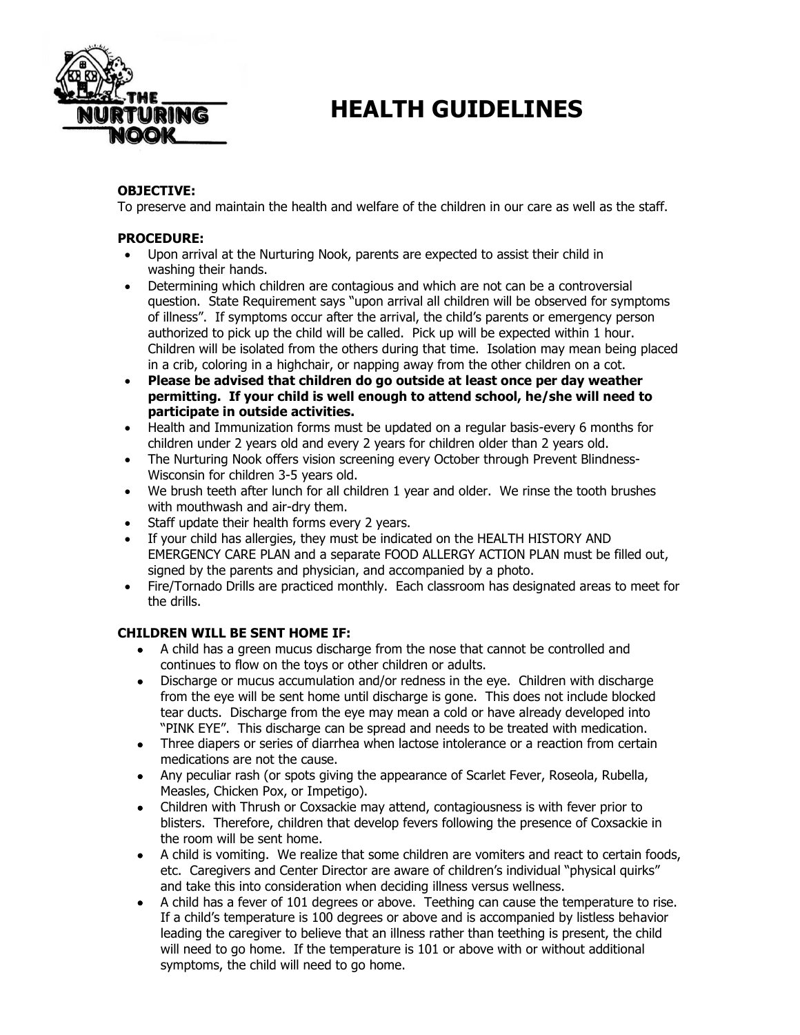

# **TRITURING HEALTH GUIDELINES**

## **OBJECTIVE:**

To preserve and maintain the health and welfare of the children in our care as well as the staff.

#### **PROCEDURE:**

- Upon arrival at the Nurturing Nook, parents are expected to assist their child in washing their hands.
- Determining which children are contagious and which are not can be a controversial question. State Requirement says "upon arrival all children will be observed for symptoms of illness". If symptoms occur after the arrival, the child's parents or emergency person authorized to pick up the child will be called. Pick up will be expected within 1 hour. Children will be isolated from the others during that time. Isolation may mean being placed in a crib, coloring in a highchair, or napping away from the other children on a cot.
- **Please be advised that children do go outside at least once per day weather permitting. If your child is well enough to attend school, he/she will need to participate in outside activities.**
- Health and Immunization forms must be updated on a regular basis-every 6 months for children under 2 years old and every 2 years for children older than 2 years old.
- The Nurturing Nook offers vision screening every October through Prevent Blindness-Wisconsin for children 3-5 years old.
- We brush teeth after lunch for all children 1 year and older. We rinse the tooth brushes with mouthwash and air-dry them.
- Staff update their health forms every 2 years.
- If your child has allergies, they must be indicated on the HEALTH HISTORY AND EMERGENCY CARE PLAN and a separate FOOD ALLERGY ACTION PLAN must be filled out, signed by the parents and physician, and accompanied by a photo.
- Fire/Tornado Drills are practiced monthly. Each classroom has designated areas to meet for the drills.

## **CHILDREN WILL BE SENT HOME IF:**

- A child has a green mucus discharge from the nose that cannot be controlled and continues to flow on the toys or other children or adults.
- Discharge or mucus accumulation and/or redness in the eye. Children with discharge from the eye will be sent home until discharge is gone. This does not include blocked tear ducts. Discharge from the eye may mean a cold or have already developed into "PINK EYE". This discharge can be spread and needs to be treated with medication.
- Three diapers or series of diarrhea when lactose intolerance or a reaction from certain medications are not the cause.
- Any peculiar rash (or spots giving the appearance of Scarlet Fever, Roseola, Rubella, Measles, Chicken Pox, or Impetigo).
- Children with Thrush or Coxsackie may attend, contagiousness is with fever prior to blisters. Therefore, children that develop fevers following the presence of Coxsackie in the room will be sent home.
- A child is vomiting. We realize that some children are vomiters and react to certain foods, etc. Caregivers and Center Director are aware of children's individual "physical quirks" and take this into consideration when deciding illness versus wellness.
- A child has a fever of 101 degrees or above. Teething can cause the temperature to rise. If a child's temperature is 100 degrees or above and is accompanied by listless behavior leading the caregiver to believe that an illness rather than teething is present, the child will need to go home. If the temperature is 101 or above with or without additional symptoms, the child will need to go home.